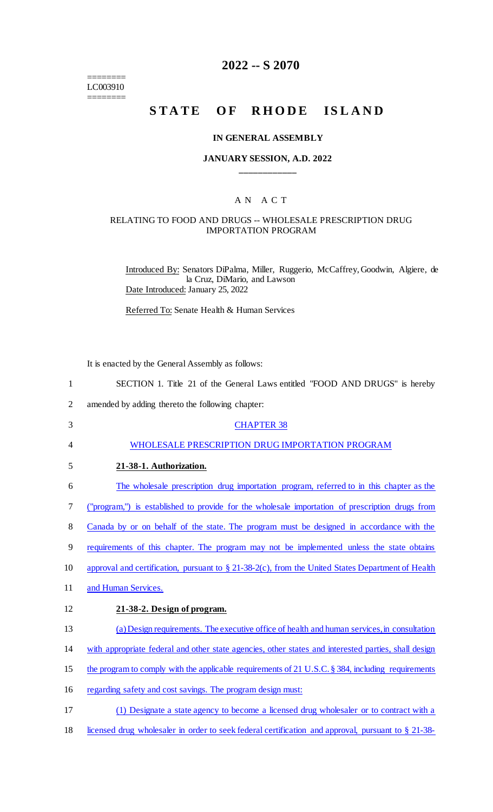======== LC003910 ========

# **2022 -- S 2070**

# STATE OF RHODE ISLAND

### **IN GENERAL ASSEMBLY**

### **JANUARY SESSION, A.D. 2022 \_\_\_\_\_\_\_\_\_\_\_\_**

# A N A C T

### RELATING TO FOOD AND DRUGS -- WHOLESALE PRESCRIPTION DRUG IMPORTATION PROGRAM

Introduced By: Senators DiPalma, Miller, Ruggerio, McCaffrey, Goodwin, Algiere, de la Cruz, DiMario, and Lawson Date Introduced: January 25, 2022

Referred To: Senate Health & Human Services

It is enacted by the General Assembly as follows:

| 1              | SECTION 1. Title 21 of the General Laws entitled "FOOD AND DRUGS" is hereby                          |
|----------------|------------------------------------------------------------------------------------------------------|
| $\overline{2}$ | amended by adding thereto the following chapter:                                                     |
| 3              | <b>CHAPTER 38</b>                                                                                    |
| 4              | WHOLESALE PRESCRIPTION DRUG IMPORTATION PROGRAM                                                      |
| 5              | 21-38-1. Authorization.                                                                              |
| 6              | The wholesale prescription drug importation program, referred to in this chapter as the              |
| 7              | ("program,") is established to provide for the wholesale importation of prescription drugs from      |
| 8              | Canada by or on behalf of the state. The program must be designed in accordance with the             |
| 9              | requirements of this chapter. The program may not be implemented unless the state obtains            |
| 10             | approval and certification, pursuant to $\S$ 21-38-2(c), from the United States Department of Health |
| 11             | and Human Services.                                                                                  |
| 12             | 21-38-2. Design of program.                                                                          |
| 13             | (a) Design requirements. The executive office of health and human services, in consultation          |
| 14             | with appropriate federal and other state agencies, other states and interested parties, shall design |
| 15             | the program to comply with the applicable requirements of 21 U.S.C. § 384, including requirements    |
| 16             | regarding safety and cost savings. The program design must:                                          |
| 17             | (1) Designate a state agency to become a licensed drug wholesaler or to contract with a              |
| 18             | licensed drug wholesaler in order to seek federal certification and approval, pursuant to § 21-38-   |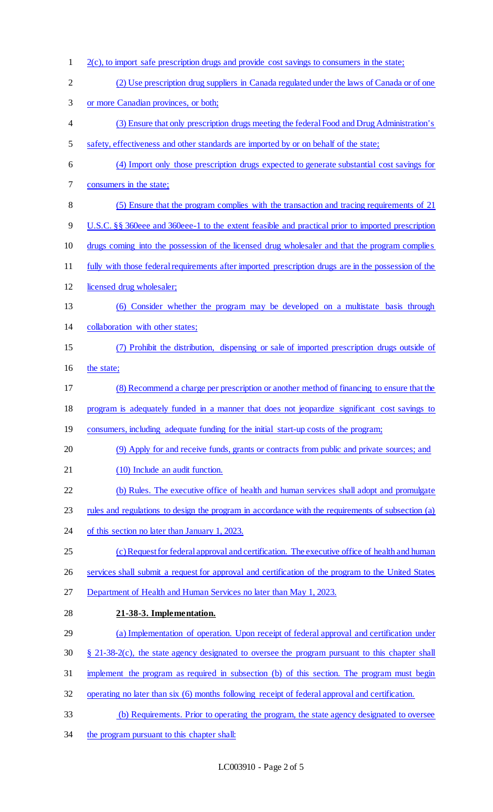2(c), to import safe prescription drugs and provide cost savings to consumers in the state; (2) Use prescription drug suppliers in Canada regulated under the laws of Canada or of one or more Canadian provinces, or both; (3) Ensure that only prescription drugs meeting the federal Food and Drug Administration's safety, effectiveness and other standards are imported by or on behalf of the state; (4) Import only those prescription drugs expected to generate substantial cost savings for consumers in the state; (5) Ensure that the program complies with the transaction and tracing requirements of 21 U.S.C. §§ 360eee and 360eee-1 to the extent feasible and practical prior to imported prescription drugs coming into the possession of the licensed drug wholesaler and that the program complies fully with those federal requirements after imported prescription drugs are in the possession of the 12 licensed drug wholesaler; (6) Consider whether the program may be developed on a multistate basis through collaboration with other states; (7) Prohibit the distribution, dispensing or sale of imported prescription drugs outside of 16 the state; (8) Recommend a charge per prescription or another method of financing to ensure that the program is adequately funded in a manner that does not jeopardize significant cost savings to consumers, including adequate funding for the initial start-up costs of the program; (9) Apply for and receive funds, grants or contracts from public and private sources; and 21 (10) Include an audit function. (b) Rules. The executive office of health and human services shall adopt and promulgate 23 rules and regulations to design the program in accordance with the requirements of subsection (a) 24 of this section no later than January 1, 2023. (c) Request for federal approval and certification. The executive office of health and human services shall submit a request for approval and certification of the program to the United States 27 Department of Health and Human Services no later than May 1, 2023. **21-38-3. Implementation.**  (a) Implementation of operation. Upon receipt of federal approval and certification under § 21-38-2(c), the state agency designated to oversee the program pursuant to this chapter shall implement the program as required in subsection (b) of this section. The program must begin operating no later than six (6) months following receipt of federal approval and certification. (b) Requirements. Prior to operating the program, the state agency designated to oversee 34 the program pursuant to this chapter shall: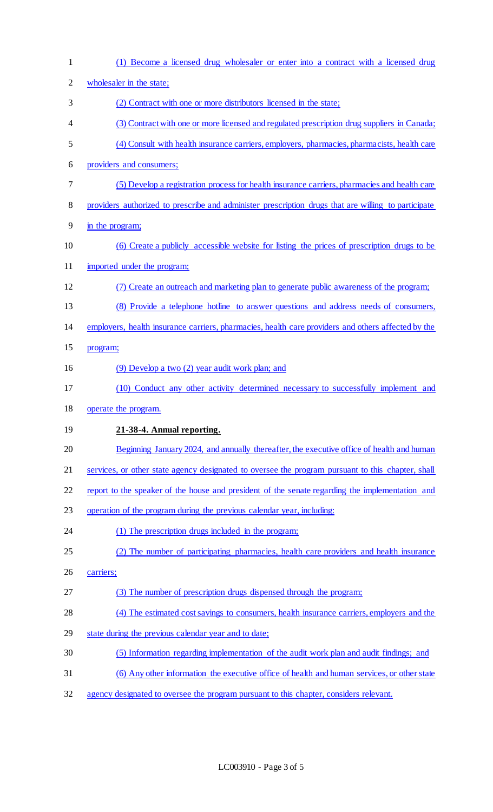| $\mathbf{1}$   | (1) Become a licensed drug wholesaler or enter into a contract with a licensed drug                 |
|----------------|-----------------------------------------------------------------------------------------------------|
| $\overline{c}$ | wholesaler in the state;                                                                            |
| 3              | (2) Contract with one or more distributors licensed in the state;                                   |
| 4              | (3) Contract with one or more licensed and regulated prescription drug suppliers in Canada;         |
| 5              | (4) Consult with health insurance carriers, employers, pharmacies, pharmacists, health care         |
| 6              | providers and consumers;                                                                            |
| 7              | (5) Develop a registration process for health insurance carriers, pharmacies and health care        |
| 8              | providers authorized to prescribe and administer prescription drugs that are willing to participate |
| 9              | in the program;                                                                                     |
| 10             | (6) Create a publicly accessible website for listing the prices of prescription drugs to be         |
| 11             | imported under the program;                                                                         |
| 12             | (7) Create an outreach and marketing plan to generate public awareness of the program;              |
| 13             | (8) Provide a telephone hotline to answer questions and address needs of consumers,                 |
| 14             | employers, health insurance carriers, pharmacies, health care providers and others affected by the  |
| 15             | program;                                                                                            |
| 16             | (9) Develop a two (2) year audit work plan; and                                                     |
| 17             | (10) Conduct any other activity determined necessary to successfully implement and                  |
| 18             | operate the program.                                                                                |
| 19             | 21-38-4. Annual reporting.                                                                          |
| 20             | Beginning January 2024, and annually thereafter, the executive office of health and human           |
| 21             | services, or other state agency designated to oversee the program pursuant to this chapter, shall   |
| 22             | report to the speaker of the house and president of the senate regarding the implementation and     |
| 23             | operation of the program during the previous calendar year, including:                              |
| 24             | (1) The prescription drugs included in the program;                                                 |
| 25             | (2) The number of participating pharmacies, health care providers and health insurance              |
| 26             | carriers;                                                                                           |
| 27             | (3) The number of prescription drugs dispensed through the program;                                 |
| 28             | (4) The estimated cost savings to consumers, health insurance carriers, employers and the           |
| 29             | state during the previous calendar year and to date;                                                |
| 30             | (5) Information regarding implementation of the audit work plan and audit findings; and             |
| 31             | (6) Any other information the executive office of health and human services, or other state         |
| 32             | agency designated to oversee the program pursuant to this chapter, considers relevant.              |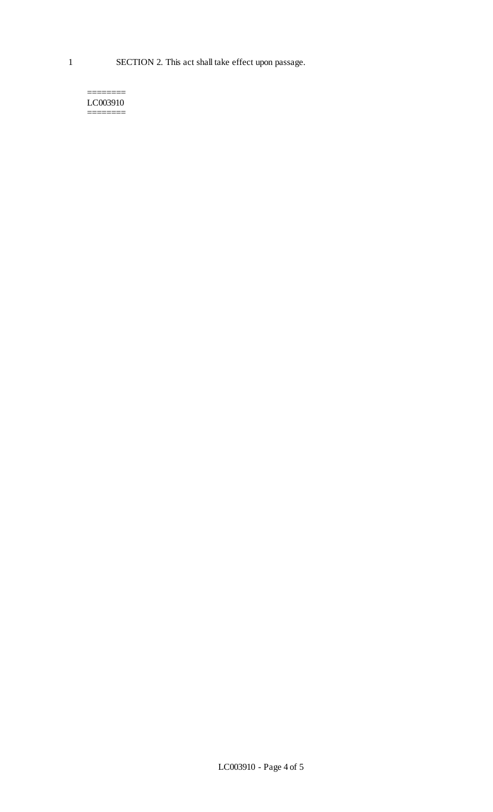#### ======== LC003910 ========